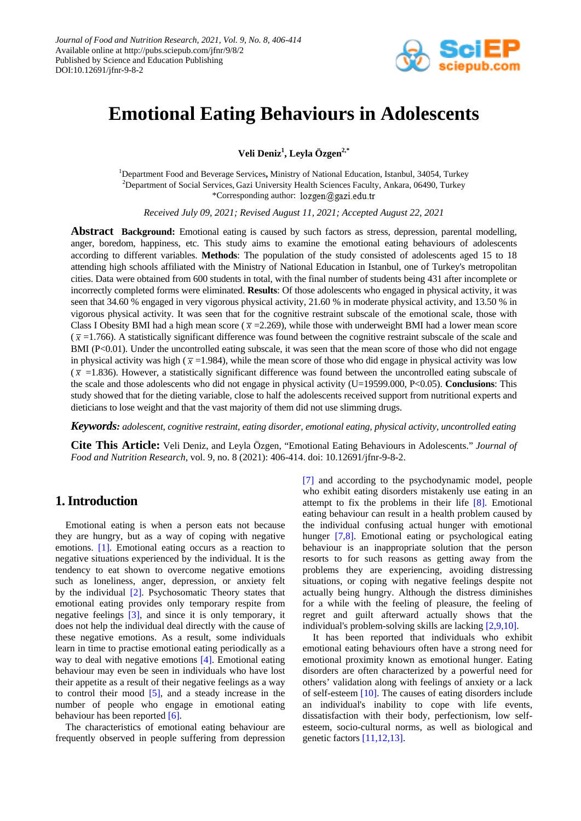

# **Emotional Eating Behaviours in Adolescents**

**Veli Deniz1 , Leyla Özgen2,\***

1 Department Food and Beverage Services**,** Ministry of National Education, Istanbul, 34054, Turkey <sup>2</sup>Department of Social Services, Gazi University Health Sciences Faculty, Ankara, 06490, Turkey \*Corresponding author: lozgen@gazi.edu.tr

*Received July 09, 2021; Revised August 11, 2021; Accepted August 22, 2021*

**Abstract Background:** Emotional eating is caused by such factors as stress, depression, parental modelling, anger, boredom, happiness, etc. This study aims to examine the emotional eating behaviours of adolescents according to different variables. **Methods**: The population of the study consisted of adolescents aged 15 to 18 attending high schools affiliated with the Ministry of National Education in Istanbul, one of Turkey's metropolitan cities. Data were obtained from 600 students in total, with the final number of students being 431 after incomplete or incorrectly completed forms were eliminated. **Results**: Of those adolescents who engaged in physical activity, it was seen that 34.60 % engaged in very vigorous physical activity, 21.60 % in moderate physical activity, and 13.50 % in vigorous physical activity. It was seen that for the cognitive restraint subscale of the emotional scale, those with Class I Obesity BMI had a high mean score ( $\bar{x}$  =2.269), while those with underweight BMI had a lower mean score  $(\bar{x} = 1.766)$ . A statistically significant difference was found between the cognitive restraint subscale of the scale and BMI (P<0.01). Under the uncontrolled eating subscale, it was seen that the mean score of those who did not engage in physical activity was high ( $\bar{x}$  =1.984), while the mean score of those who did engage in physical activity was low  $(\bar{x})$  =1.836). However, a statistically significant difference was found between the uncontrolled eating subscale of the scale and those adolescents who did not engage in physical activity (U=19599.000, P<0.05). **Conclusions**: This study showed that for the dieting variable, close to half the adolescents received support from nutritional experts and dieticians to lose weight and that the vast majority of them did not use slimming drugs.

*Keywords: adolescent, cognitive restraint, eating disorder, emotional eating, physical activity, uncontrolled eating*

**Cite This Article:** Veli Deniz, and Leyla Özgen, "Emotional Eating Behaviours in Adolescents." *Journal of Food and Nutrition Research*, vol. 9, no. 8 (2021): 406-414. doi: 10.12691/jfnr-9-8-2.

# **1. Introduction**

Emotional eating is when a person eats not because they are hungry, but as a way of coping with negative emotions. [\[1\].](#page-7-0) Emotional eating occurs as a reaction to negative situations experienced by the individual. It is the tendency to eat shown to overcome negative emotions such as loneliness, anger, depression, or anxiety felt by the individual [\[2\].](#page-7-1) Psychosomatic Theory states that emotional eating provides only temporary respite from negative feelings [\[3\],](#page-7-2) and since it is only temporary, it does not help the individual deal directly with the cause of these negative emotions. As a result, some individuals learn in time to practise emotional eating periodically as a way to deal with negative emotions [\[4\].](#page-7-3) Emotional eating behaviour may even be seen in individuals who have lost their appetite as a result of their negative feelings as a way to control their mood [\[5\],](#page-7-4) and a steady increase in the number of people who engage in emotional eating behaviour has been reported [\[6\].](#page-7-5)

The characteristics of emotional eating behaviour are frequently observed in people suffering from depression [\[7\]](#page-7-6) and according to the psychodynamic model, people who exhibit eating disorders mistakenly use eating in an attempt to fix the problems in their life [\[8\].](#page-7-7) Emotional eating behaviour can result in a health problem caused by the individual confusing actual hunger with emotional hunger [\[7,8\].](#page-7-6) Emotional eating or psychological eating behaviour is an inappropriate solution that the person resorts to for such reasons as getting away from the problems they are experiencing, avoiding distressing situations, or coping with negative feelings despite not actually being hungry. Although the distress diminishes for a while with the feeling of pleasure, the feeling of regret and guilt afterward actually shows that the individual's problem-solving skills are lacking [\[2,9,10\].](#page-7-1)

It has been reported that individuals who exhibit emotional eating behaviours often have a strong need for emotional proximity known as emotional hunger. Eating disorders are often characterized by a powerful need for others' validation along with feelings of anxiety or a lack of self-esteem [\[10\].](#page-7-8) The causes of eating disorders include an individual's inability to cope with life events, dissatisfaction with their body, perfectionism, low selfesteem, socio-cultural norms, as well as biological and genetic factors [\[11,12,13\].](#page-7-9)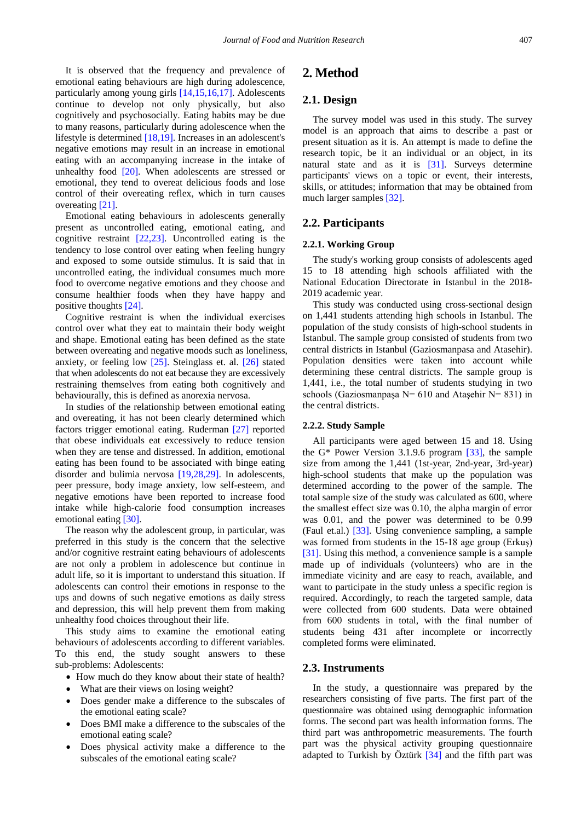It is observed that the frequency and prevalence of emotional eating behaviours are high during adolescence, particularly among young girls [\[14,15,16,17\].](#page-7-10) Adolescents continue to develop not only physically, but also cognitively and psychosocially. Eating habits may be due to many reasons, particularly during adolescence when the lifestyle is determined [\[18,19\].](#page-7-11) Increases in an adolescent's negative emotions may result in an increase in emotional eating with an accompanying increase in the intake of unhealthy food [\[20\].](#page-7-12) When adolescents are stressed or emotional, they tend to overeat delicious foods and lose control of their overeating reflex, which in turn causes overeating [\[21\].](#page-7-13)

Emotional eating behaviours in adolescents generally present as uncontrolled eating, emotional eating, and cognitive restraint [\[22,23\].](#page-7-14) Uncontrolled eating is the tendency to lose control over eating when feeling hungry and exposed to some outside stimulus. It is said that in uncontrolled eating, the individual consumes much more food to overcome negative emotions and they choose and consume healthier foods when they have happy and positive thoughts [\[24\].](#page-7-15)

Cognitive restraint is when the individual exercises control over what they eat to maintain their body weight and shape. Emotional eating has been defined as the state between overeating and negative moods such as loneliness, anxiety, or feeling low [\[25\].](#page-7-16) Steinglass et. al. [\[26\]](#page-7-17) stated that when adolescents do not eat because they are excessively restraining themselves from eating both cognitively and behaviourally, this is defined as anorexia nervosa.

In studies of the relationship between emotional eating and overeating, it has not been clearly determined which factors trigger emotional eating. Ruderman [\[27\]](#page-7-18) reported that obese individuals eat excessively to reduce tension when they are tense and distressed. In addition, emotional eating has been found to be associated with binge eating disorder and bulimia nervosa [\[19,28,29\].](#page-7-19) In adolescents, peer pressure, body image anxiety, low self-esteem, and negative emotions have been reported to increase food intake while high-calorie food consumption increases emotional eating [\[30\].](#page-7-20)

The reason why the adolescent group, in particular, was preferred in this study is the concern that the selective and/or cognitive restraint eating behaviours of adolescents are not only a problem in adolescence but continue in adult life, so it is important to understand this situation. If adolescents can control their emotions in response to the ups and downs of such negative emotions as daily stress and depression, this will help prevent them from making unhealthy food choices throughout their life.

This study aims to examine the emotional eating behaviours of adolescents according to different variables. To this end, the study sought answers to these sub-problems: Adolescents:

- How much do they know about their state of health?
- What are their views on losing weight?
- Does gender make a difference to the subscales of the emotional eating scale?
- Does BMI make a difference to the subscales of the emotional eating scale?
- Does physical activity make a difference to the subscales of the emotional eating scale?

### **2. Method**

### **2.1. Design**

The survey model was used in this study. The survey model is an approach that aims to describe a past or present situation as it is. An attempt is made to define the research topic, be it an individual or an object, in its natural state and as it is [\[31\].](#page-7-21) Surveys determine participants' views on a topic or event, their interests, skills, or attitudes; information that may be obtained from much larger samples [\[32\].](#page-7-22)

#### **2.2. Participants**

#### **2.2.1. Working Group**

The study's working group consists of adolescents aged 15 to 18 attending high schools affiliated with the National Education Directorate in Istanbul in the 2018- 2019 academic year.

This study was conducted using cross-sectional design on 1,441 students attending high schools in Istanbul. The population of the study consists of high-school students in Istanbul. The sample group consisted of students from two central districts in Istanbul (Gaziosmanpasa and Atasehir). Population densities were taken into account while determining these central districts. The sample group is 1,441, i.e., the total number of students studying in two schools (Gaziosmanpaşa  $N= 610$  and Ataşehir  $N= 831$ ) in the central districts.

#### **2.2.2. Study Sample**

All participants were aged between 15 and 18. Using the G\* Power Version 3.1.9.6 program [\[33\],](#page-7-23) the sample size from among the 1,441 (1st-year, 2nd-year, 3rd-year) high-school students that make up the population was determined according to the power of the sample. The total sample size of the study was calculated as 600, where the smallest effect size was 0.10, the alpha margin of error was 0.01, and the power was determined to be 0.99 (Faul et.al.) [\[33\].](#page-7-23) Using convenience sampling, a sample was formed from students in the 15-18 age group (Erkuş) [\[31\].](#page-7-21) Using this method, a convenience sample is a sample made up of individuals (volunteers) who are in the immediate vicinity and are easy to reach, available, and want to participate in the study unless a specific region is required. Accordingly, to reach the targeted sample, data were collected from 600 students. Data were obtained from 600 students in total, with the final number of students being 431 after incomplete or incorrectly completed forms were eliminated.

### **2.3. Instruments**

In the study, a questionnaire was prepared by the researchers consisting of five parts. The first part of the questionnaire was obtained using demographic information forms. The second part was health information forms. The third part was anthropometric measurements. The fourth part was the physical activity grouping questionnaire adapted to Turkish by Öztürk [\[34\]](#page-7-24) and the fifth part was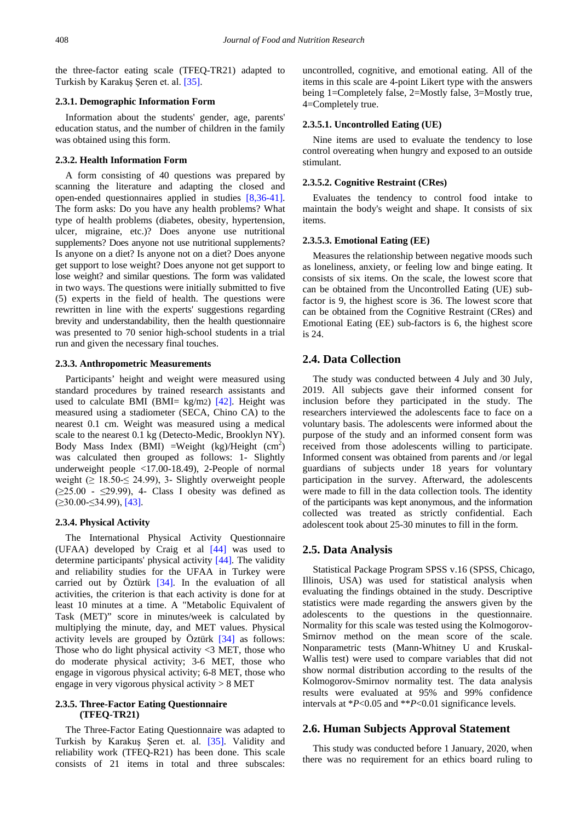the three-factor eating scale (TFEQ-TR21) adapted to Turkish by Karakus Seren et. al. [\[35\].](#page-7-25)

#### **2.3.1. Demographic Information Form**

Information about the students' gender, age, parents' education status, and the number of children in the family was obtained using this form.

#### **2.3.2. Health Information Form**

A form consisting of 40 questions was prepared by scanning the literature and adapting the closed and open-ended questionnaires applied in studies [\[8,36-41\].](#page-7-7) The form asks: Do you have any health problems? What type of health problems (diabetes, obesity, hypertension, ulcer, migraine, etc.)? Does anyone use nutritional supplements? Does anyone not use nutritional supplements? Is anyone on a diet? Is anyone not on a diet? Does anyone get support to lose weight? Does anyone not get support to lose weight? and similar questions. The form was validated in two ways. The questions were initially submitted to five (5) experts in the field of health. The questions were rewritten in line with the experts' suggestions regarding brevity and understandability, then the health questionnaire was presented to 70 senior high-school students in a trial run and given the necessary final touches.

#### **2.3.3. Anthropometric Measurements**

Participants' height and weight were measured using standard procedures by trained research assistants and used to calculate BMI (BMI=  $kg/m2$ ) [\[42\].](#page-7-26) Height was measured using a stadiometer (SECA, Chino CA) to the nearest 0.1 cm. Weight was measured using a medical scale to the nearest 0.1 kg (Detecto-Medic, Brooklyn NY). Body Mass Index (BMI) =Weight (kg)/Height  $(cm^2)$ was calculated then grouped as follows: 1- Slightly underweight people <17.00-18.49), 2-People of normal weight ( $\geq$  18.50- $\leq$  24.99), 3- Slightly overweight people  $(\geq 25.00 - \leq 29.99)$ , 4- Class I obesity was defined as  $(≥30.00 ≤34.99)$ , [\[43\].](#page-7-27)

#### **2.3.4. Physical Activity**

The International Physical Activity Questionnaire (UFAA) developed by Craig et al [\[44\]](#page-7-28) was used to determine participants' physical activity [\[44\].](#page-7-28) The validity and reliability studies for the UFAA in Turkey were carried out by Öztürk [\[34\].](#page-7-24) In the evaluation of all activities, the criterion is that each activity is done for at least 10 minutes at a time. A "Metabolic Equivalent of Task (MET)" score in minutes/week is calculated by multiplying the minute, day, and MET values. Physical activity levels are grouped by Öztürk [\[34\]](#page-7-24) as follows: Those who do light physical activity <3 MET, those who do moderate physical activity; 3-6 MET, those who engage in vigorous physical activity; 6-8 MET, those who engage in very vigorous physical activity > 8 MET

#### **2.3.5. Three-Factor Eating Questionnaire (TFEQ-TR21)**

The Three-Factor Eating Questionnaire was adapted to Turkish by Karakuş Şeren et. al. [\[35\].](#page-7-25) Validity and reliability work (TFEQ-R21) has been done. This scale consists of 21 items in total and three subscales:

uncontrolled, cognitive, and emotional eating. All of the items in this scale are 4-point Likert type with the answers being 1=Completely false, 2=Mostly false, 3=Mostly true, 4=Completely true.

#### **2.3.5.1. Uncontrolled Eating (UE)**

Nine items are used to evaluate the tendency to lose control overeating when hungry and exposed to an outside stimulant.

#### **2.3.5.2. Cognitive Restraint (CRes)**

Evaluates the tendency to control food intake to maintain the body's weight and shape. It consists of six items.

#### **2.3.5.3. Emotional Eating (EE)**

Measures the relationship between negative moods such as loneliness, anxiety, or feeling low and binge eating. It consists of six items. On the scale, the lowest score that can be obtained from the Uncontrolled Eating (UE) subfactor is 9, the highest score is 36. The lowest score that can be obtained from the Cognitive Restraint (CRes) and Emotional Eating (EE) sub-factors is 6, the highest score is 24.

### **2.4. Data Collection**

The study was conducted between 4 July and 30 July, 2019. All subjects gave their informed consent for inclusion before they participated in the study. The researchers interviewed the adolescents face to face on a voluntary basis. The adolescents were informed about the purpose of the study and an informed consent form was received from those adolescents willing to participate. Informed consent was obtained from parents and /or legal guardians of subjects under 18 years for voluntary participation in the survey. Afterward, the adolescents were made to fill in the data collection tools. The identity of the participants was kept anonymous, and the information collected was treated as strictly confidential. Each adolescent took about 25-30 minutes to fill in the form.

#### **2.5. Data Analysis**

Statistical Package Program SPSS v.16 (SPSS, Chicago, Illinois, USA) was used for statistical analysis when evaluating the findings obtained in the study. Descriptive statistics were made regarding the answers given by the adolescents to the questions in the questionnaire. Normality for this scale was tested using the Kolmogorov-Smirnov method on the mean score of the scale. Nonparametric tests (Mann-Whitney U and Kruskal-Wallis test) were used to compare variables that did not show normal distribution according to the results of the Kolmogorov-Smirnov normality test. The data analysis results were evaluated at 95% and 99% confidence intervals at \**P*<0.05 and \*\**P*<0.01 significance levels.

### **2.6. Human Subjects Approval Statement**

This study was conducted before 1 January, 2020, when there was no requirement for an ethics board ruling to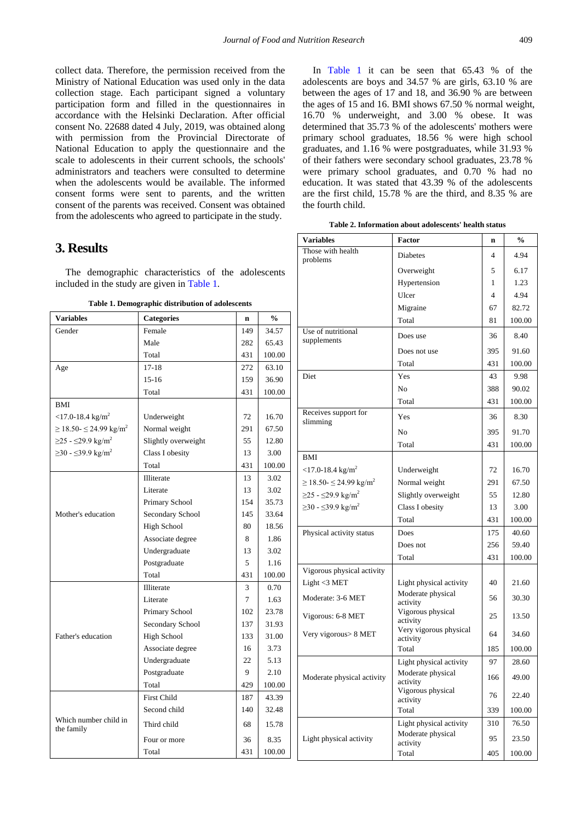collect data. Therefore, the permission received from the Ministry of National Education was used only in the data collection stage. Each participant signed a voluntary participation form and filled in the questionnaires in accordance with the Helsinki Declaration. After official consent No. 22688 dated 4 July, 2019, was obtained along with permission from the Provincial Directorate of National Education to apply the questionnaire and the scale to adolescents in their current schools, the schools' administrators and teachers were consulted to determine when the adolescents would be available. The informed consent forms were sent to parents, and the written consent of the parents was received. Consent was obtained from the adolescents who agreed to participate in the study.

### **3. Results**

The demographic characteristics of the adolescents included in the study are given i[n Table 1.](#page-3-0)

<span id="page-3-0"></span>

| <b>Variables</b>                             | <b>Categories</b>   | $\mathbf n$ | $\frac{0}{0}$ |
|----------------------------------------------|---------------------|-------------|---------------|
| Gender                                       | Female              | 149         | 34.57         |
|                                              | Male                | 282         | 65.43         |
|                                              | Total               | 431         | 100.00        |
| Age                                          | $17 - 18$           | 272         | 63.10         |
|                                              | $15 - 16$           | 159         | 36.90         |
|                                              | Total               | 431         | 100.00        |
| <b>BMI</b>                                   |                     |             |               |
| $<$ 17.0-18.4 kg/m <sup>2</sup>              | Underweight         | 72          | 16.70         |
| $\geq$ 18.50- $\leq$ 24.99 kg/m <sup>2</sup> | Normal weight       | 291         | 67.50         |
| $≥25 - ≤29.9$ kg/m <sup>2</sup>              | Slightly overweight | 55          | 12.80         |
| $\geq$ 30 - ≤39.9 kg/m <sup>2</sup>          | Class I obesity     | 13          | 3.00          |
|                                              | Total               | 431         | 100.00        |
|                                              | Illiterate          | 13          | 3.02          |
|                                              | Literate            | 13          | 3.02          |
|                                              | Primary School      | 154         | 35.73         |
| Mother's education                           | Secondary School    | 145         | 33.64         |
|                                              | High School         | 80          | 18.56         |
|                                              | Associate degree    | 8           | 1.86          |
|                                              | Undergraduate       | 13          | 3.02          |
|                                              | Postgraduate        | 5           | 1.16          |
|                                              | Total               | 431         | 100.00        |
|                                              | Illiterate          | 3           | 0.70          |
|                                              | Literate            | 7           | 1.63          |
|                                              | Primary School      | 102         | 23.78         |
|                                              | Secondary School    | 137         | 31.93         |
| Father's education                           | <b>High School</b>  | 133         | 31.00         |
|                                              | Associate degree    | 16          | 3.73          |
|                                              | Undergraduate       | 22          | 5.13          |
|                                              | Postgraduate        | 9           | 2.10          |
|                                              | Total               | 429         | 100.00        |
|                                              | <b>First Child</b>  | 187         | 43.39         |
|                                              | Second child        | 140         | 32.48         |
| Which number child in<br>the family          | Third child         | 68          | 15.78         |
|                                              | Four or more        | 36          | 8.35          |
|                                              | Total               | 431         | 100.00        |

In [Table 1](#page-3-0) it can be seen that 65.43 % of the adolescents are boys and 34.57 % are girls, 63.10 % are between the ages of 17 and 18, and 36.90 % are between the ages of 15 and 16. BMI shows 67.50 % normal weight, 16.70 % underweight, and 3.00 % obese. It was determined that 35.73 % of the adolescents' mothers were primary school graduates, 18.56 % were high school graduates, and 1.16 % were postgraduates, while 31.93 % of their fathers were secondary school graduates, 23.78 % were primary school graduates, and 0.70 % had no education. It was stated that 43.39 % of the adolescents are the first child, 15.78 % are the third, and 8.35 % are the fourth child.

**Table 2. Information about adolescents' health status**

<span id="page-3-1"></span>

| <b>Variables</b>                             | Factor                                    | n   | $\frac{0}{0}$ |
|----------------------------------------------|-------------------------------------------|-----|---------------|
| Those with health<br>problems                | Diabetes                                  | 4   | 4.94          |
|                                              | Overweight                                | 5   | 6.17          |
|                                              | Hypertension                              | 1   | 1.23          |
|                                              | Ulcer                                     | 4   | 4.94          |
|                                              | Migraine                                  | 67  | 82.72         |
|                                              | Total                                     | 81  | 100.00        |
| Use of nutritional<br>supplements            | Does use                                  | 36  | 8.40          |
|                                              | Does not use                              | 395 | 91.60         |
|                                              | Total                                     | 431 | 100.00        |
| Diet                                         | Yes                                       | 43  | 9.98          |
|                                              | No                                        | 388 | 90.02         |
|                                              | Total                                     | 431 | 100.00        |
| Receives support for<br>slimming             | Yes                                       | 36  | 8.30          |
|                                              | No                                        | 395 | 91.70         |
|                                              | Total                                     | 431 | 100.00        |
| BMI                                          |                                           |     |               |
| $<$ 17.0-18.4 kg/m <sup>2</sup>              | Underweight                               | 72  | 16.70         |
| $\geq$ 18.50- $\leq$ 24.99 kg/m <sup>2</sup> | Normal weight                             | 291 | 67.50         |
| $≥25 - ≤29.9$ kg/m <sup>2</sup>              | Slightly overweight                       | 55  | 12.80         |
| $\geq$ 30 - ≤39.9 kg/m <sup>2</sup>          | Class I obesity                           | 13  | 3.00          |
|                                              | Total                                     | 431 | 100.00        |
| Physical activity status                     | Does                                      | 175 | 40.60         |
|                                              | Does not                                  | 256 | 59.40         |
|                                              | Total                                     | 431 | 100.00        |
| Vigorous physical activity                   |                                           |     |               |
| Light <3 MET                                 | Light physical activity                   | 40  | 21.60         |
| Moderate: 3-6 MET                            | Moderate physical                         | 56  | 30.30         |
| Vigorous: 6-8 MET                            | activity<br>Vigorous physical<br>activity | 25  | 13.50         |
| Very vigorous > 8 MET                        | Very vigorous physical<br>activity        | 64  | 34.60         |
|                                              | Total                                     | 185 | 100.00        |
|                                              | Light physical activity                   | 97  | 28.60         |
| Moderate physical activity                   | Moderate physical<br>activity             | 166 | 49.00         |
|                                              | Vigorous physical<br>activity             | 76  | 22.40         |
|                                              | Total                                     | 339 | 100.00        |
|                                              | Light physical activity                   | 310 | 76.50         |
| Light physical activity                      | Moderate physical<br>activity             | 95  | 23.50         |
|                                              | Total                                     | 405 | 100.00        |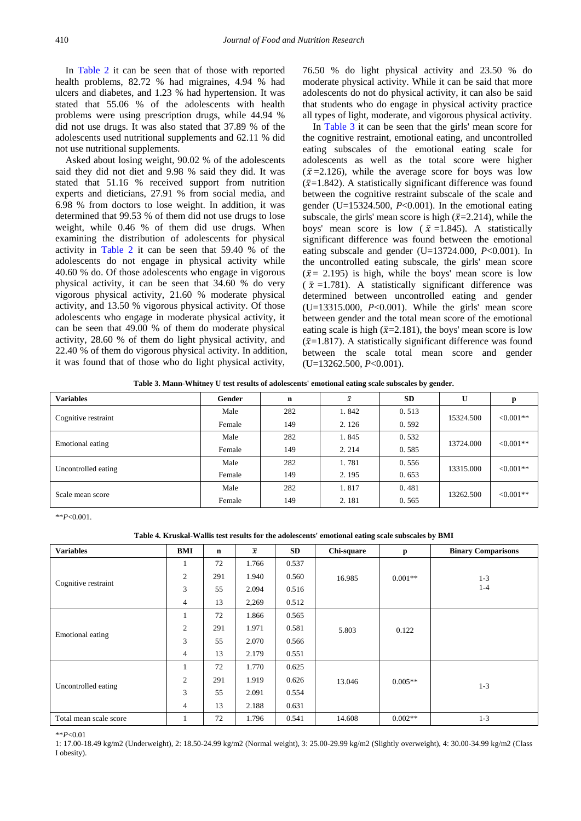In [Table 2](#page-3-1) it can be seen that of those with reported health problems, 82.72 % had migraines, 4.94 % had ulcers and diabetes, and 1.23 % had hypertension. It was stated that 55.06 % of the adolescents with health problems were using prescription drugs, while 44.94 % did not use drugs. It was also stated that 37.89 % of the adolescents used nutritional supplements and 62.11 % did not use nutritional supplements.

Asked about losing weight, 90.02 % of the adolescents said they did not diet and 9.98 % said they did. It was stated that 51.16 % received support from nutrition experts and dieticians, 27.91 % from social media, and 6.98 % from doctors to lose weight. In addition, it was determined that 99.53 % of them did not use drugs to lose weight, while 0.46 % of them did use drugs. When examining the distribution of adolescents for physical activity in [Table 2](#page-3-1) it can be seen that 59.40 % of the adolescents do not engage in physical activity while 40.60 % do. Of those adolescents who engage in vigorous physical activity, it can be seen that 34.60 % do very vigorous physical activity, 21.60 % moderate physical activity, and 13.50 % vigorous physical activity. Of those adolescents who engage in moderate physical activity, it can be seen that 49.00 % of them do moderate physical activity, 28.60 % of them do light physical activity, and 22.40 % of them do vigorous physical activity. In addition, it was found that of those who do light physical activity,

76.50 % do light physical activity and 23.50 % do moderate physical activity. While it can be said that more adolescents do not do physical activity, it can also be said that students who do engage in physical activity practice all types of light, moderate, and vigorous physical activity.

In [Table 3](#page-4-0) it can be seen that the girls' mean score for the cognitive restraint, emotional eating, and uncontrolled eating subscales of the emotional eating scale for adolescents as well as the total score were higher  $({\bar{x}}=2.126)$ , while the average score for boys was low  $({\bar{x}}=1.842)$ . A statistically significant difference was found between the cognitive restraint subscale of the scale and gender (U=15324.500, *P*<0.001). In the emotional eating subscale, the girls' mean score is high  $(\bar{x}=2.214)$ , while the boys' mean score is low ( $\bar{x}$  =1.845). A statistically significant difference was found between the emotional eating subscale and gender (U=13724.000, *P*<0.001). In the uncontrolled eating subscale, the girls' mean score  $(\bar{x} = 2.195)$  is high, while the boys' mean score is low  $(\bar{x}$ =1.781). A statistically significant difference was determined between uncontrolled eating and gender (U=13315.000, *P*<0.001). While the girls' mean score between gender and the total mean score of the emotional eating scale is high ( $\bar{x}$ =2.181), the boys' mean score is low  $({\bar{x}}=1.817)$ . A statistically significant difference was found between the scale total mean score and gender (U=13262.500, *P*<0.001).

**Table 3. Mann-Whitney U test results of adolescents' emotional eating scale subscales by gender.**

<span id="page-4-0"></span>

| <b>Variables</b>    | Gender | n   | $\bar{x}$ | <b>SD</b> | U         |              |
|---------------------|--------|-----|-----------|-----------|-----------|--------------|
| Cognitive restraint | Male   | 282 | 1.842     | 0.513     | 15324.500 | $< 0.001$ ** |
|                     | Female | 149 | 2.126     | 0.592     |           |              |
| Emotional eating    | Male   | 282 | 1.845     | 0.532     | 13724.000 | $< 0.001$ ** |
|                     | Female | 149 | 2.214     | 0.585     |           |              |
| Uncontrolled eating | Male   | 282 | 1.781     | 0.556     | 13315.000 | $<0.001**$   |
|                     | Female | 149 | 2.195     | 0.653     |           |              |
| Scale mean score    | Male   | 282 | 1.817     | 0.481     |           |              |
|                     | Female | 149 | 2.181     | 0.565     | 13262.500 | $< 0.001**$  |

\*\**P*<0.001.

**Table 4. Kruskal-Wallis test results for the adolescents' emotional eating scale subscales by BMI**

<span id="page-4-1"></span>

| <b>Variables</b>       | BMI            | $\mathbf n$ | $\overline{x}$ | SD    | Chi-square | $\mathbf{p}$ | <b>Binary Comparisons</b> |
|------------------------|----------------|-------------|----------------|-------|------------|--------------|---------------------------|
| Cognitive restraint    | -1             | 72          | 1.766          | 0.537 |            |              |                           |
|                        | $\mathfrak{2}$ | 291         | 1.940          | 0.560 | 16.985     | $0.001**$    | $1 - 3$                   |
|                        | 3              | 55          | 2.094          | 0.516 |            |              | $1 - 4$                   |
|                        | 4              | 13          | 2,269          | 0.512 |            |              |                           |
| Emotional eating       | 1              | 72          | 1.866          | 0.565 |            |              |                           |
|                        | $\overline{c}$ | 291         | 1.971          | 0.581 | 5.803      | 0.122        |                           |
|                        | 3              | 55          | 2.070          | 0.566 |            |              |                           |
|                        | $\overline{4}$ | 13          | 2.179          | 0.551 |            |              |                           |
| Uncontrolled eating    |                | 72          | 1.770          | 0.625 |            |              |                           |
|                        | $\overline{c}$ | 291         | 1.919          | 0.626 | 13.046     | $0.005**$    | $1 - 3$                   |
|                        | 3              | 55          | 2.091          | 0.554 |            |              |                           |
|                        | $\overline{4}$ | 13          | 2.188          | 0.631 |            |              |                           |
| Total mean scale score |                | 72          | 1.796          | 0.541 | 14.608     | $0.002**$    | $1 - 3$                   |

\*\**P*<0.01

1: 17.00-18.49 kg/m2 (Underweight), 2: 18.50-24.99 kg/m2 (Normal weight), 3: 25.00-29.99 kg/m2 (Slightly overweight), 4: 30.00-34.99 kg/m2 (Class I obesity).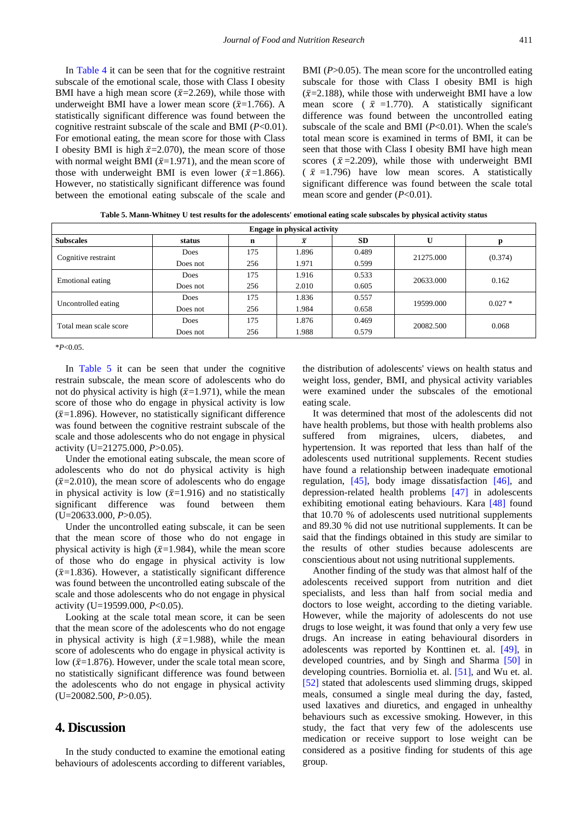In [Table 4](#page-4-1) it can be seen that for the cognitive restraint subscale of the emotional scale, those with Class I obesity BMI have a high mean score ( $\bar{x}$ =2.269), while those with underweight BMI have a lower mean score ( $\bar{x}$ =1.766). A statistically significant difference was found between the cognitive restraint subscale of the scale and BMI (*P*<0.01). For emotional eating, the mean score for those with Class I obesity BMI is high  $\bar{x}$ =2.070), the mean score of those with normal weight BMI ( $\bar{x}$ =1.971), and the mean score of those with underweight BMI is even lower ( $\bar{x}$ =1.866). However, no statistically significant difference was found between the emotional eating subscale of the scale and

BMI (*P*>0.05). The mean score for the uncontrolled eating subscale for those with Class I obesity BMI is high  $({\bar{x}}=2.188)$ , while those with underweight BMI have a low mean score ( $\bar{x}$  =1.770). A statistically significant difference was found between the uncontrolled eating subscale of the scale and BMI (*P*<0.01). When the scale's total mean score is examined in terms of BMI, it can be seen that those with Class I obesity BMI have high mean scores ( $\bar{x}$ =2.209), while those with underweight BMI  $(\bar{x} = 1.796)$  have low mean scores. A statistically significant difference was found between the scale total mean score and gender (*P*<0.01).

**Table 5. Mann-Whitney U test results for the adolescents' emotional eating scale subscales by physical activity status**

<span id="page-5-0"></span>

| <b>Engage in physical activity</b> |          |     |                |           |           |          |  |  |
|------------------------------------|----------|-----|----------------|-----------|-----------|----------|--|--|
| <b>Subscales</b>                   | status   | n   | $\overline{x}$ | <b>SD</b> | U         |          |  |  |
| Cognitive restraint                | Does     | 175 | 1.896          | 0.489     | 21275.000 | (0.374)  |  |  |
|                                    | Does not | 256 | 1.971          | 0.599     |           |          |  |  |
| Emotional eating                   | Does     | 175 | 1.916          | 0.533     | 20633.000 | 0.162    |  |  |
|                                    | Does not | 256 | 2.010          | 0.605     |           |          |  |  |
| Uncontrolled eating                | Does     | 175 | 1.836          | 0.557     | 19599.000 | $0.027*$ |  |  |
|                                    | Does not | 256 | 1.984          | 0.658     |           |          |  |  |
| Total mean scale score             | Does     | 175 | 1.876          | 0.469     | 20082.500 | 0.068    |  |  |
|                                    | Does not | 256 | 1.988          | 0.579     |           |          |  |  |

\**P*<0.05.

In [Table 5](#page-5-0) it can be seen that under the cognitive restrain subscale, the mean score of adolescents who do not do physical activity is high  $(\bar{x}=1.971)$ , while the mean score of those who do engage in physical activity is low  $({\bar{x}}=1.896)$ . However, no statistically significant difference was found between the cognitive restraint subscale of the scale and those adolescents who do not engage in physical activity (U=21275.000, *P*>0.05).

Under the emotional eating subscale, the mean score of adolescents who do not do physical activity is high  $(\bar{x}=2.010)$ , the mean score of adolescents who do engage in physical activity is low  $(\bar{x}=1.916)$  and no statistically significant difference was found between them (U=20633.000, *P*>0.05).

Under the uncontrolled eating subscale, it can be seen that the mean score of those who do not engage in physical activity is high ( $\bar{x}$ =1.984), while the mean score of those who do engage in physical activity is low  $(\bar{x}=1.836)$ . However, a statistically significant difference was found between the uncontrolled eating subscale of the scale and those adolescents who do not engage in physical activity (U=19599.000, *P*<0.05).

Looking at the scale total mean score, it can be seen that the mean score of the adolescents who do not engage in physical activity is high ( $\bar{x}$ =1.988), while the mean score of adolescents who do engage in physical activity is low ( $\bar{x}$ =1.876). However, under the scale total mean score, no statistically significant difference was found between the adolescents who do not engage in physical activity (U=20082.500, *P*>0.05).

### **4. Discussion**

In the study conducted to examine the emotional eating behaviours of adolescents according to different variables,

the distribution of adolescents' views on health status and weight loss, gender, BMI, and physical activity variables were examined under the subscales of the emotional eating scale.

It was determined that most of the adolescents did not have health problems, but those with health problems also suffered from migraines, ulcers, diabetes, and hypertension. It was reported that less than half of the adolescents used nutritional supplements. Recent studies have found a relationship between inadequate emotional regulation, [\[45\],](#page-8-0) body image dissatisfaction [\[46\],](#page-8-1) and depression-related health problems [\[47\]](#page-8-2) in adolescents exhibiting emotional eating behaviours. Kara [\[48\]](#page-8-3) found that 10.70 % of adolescents used nutritional supplements and 89.30 % did not use nutritional supplements. It can be said that the findings obtained in this study are similar to the results of other studies because adolescents are conscientious about not using nutritional supplements.

Another finding of the study was that almost half of the adolescents received support from nutrition and diet specialists, and less than half from social media and doctors to lose weight, according to the dieting variable. However, while the majority of adolescents do not use drugs to lose weight, it was found that only a very few use drugs. An increase in eating behavioural disorders in adolescents was reported by Konttinen et. al. [\[49\],](#page-8-4) in developed countries, and by Singh and Sharma [\[50\]](#page-8-5) in developing countries. Borniolia et. al. [\[51\],](#page-8-6) and Wu et. al. [\[52\]](#page-8-7) stated that adolescents used slimming drugs, skipped meals, consumed a single meal during the day, fasted, used laxatives and diuretics, and engaged in unhealthy behaviours such as excessive smoking. However, in this study, the fact that very few of the adolescents use medication or receive support to lose weight can be considered as a positive finding for students of this age group.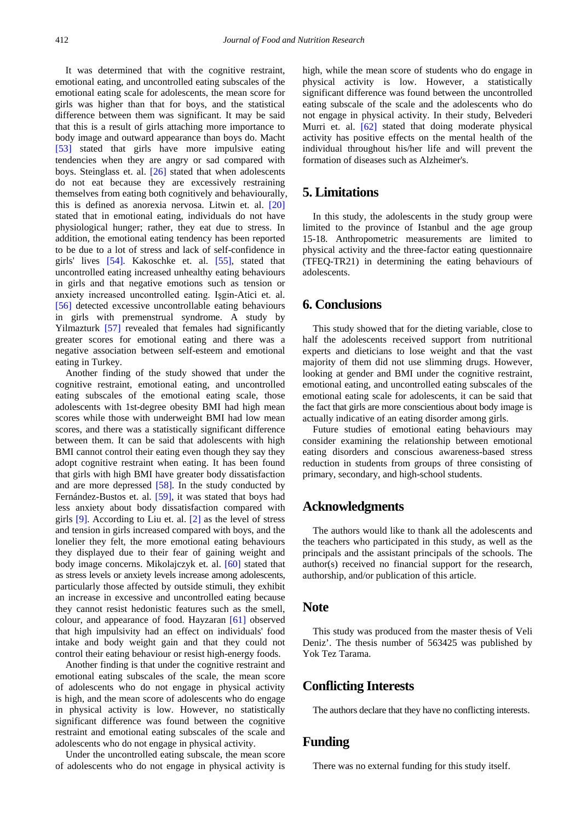It was determined that with the cognitive restraint, emotional eating, and uncontrolled eating subscales of the emotional eating scale for adolescents, the mean score for girls was higher than that for boys, and the statistical difference between them was significant. It may be said that this is a result of girls attaching more importance to body image and outward appearance than boys do. Macht [\[53\]](#page-8-8) stated that girls have more impulsive eating tendencies when they are angry or sad compared with boys. Steinglass et. al. [\[26\]](#page-7-17) stated that when adolescents do not eat because they are excessively restraining themselves from eating both cognitively and behaviourally, this is defined as anorexia nervosa. Litwin et. al. [\[20\]](#page-7-12) stated that in emotional eating, individuals do not have physiological hunger; rather, they eat due to stress. In addition, the emotional eating tendency has been reported to be due to a lot of stress and lack of self-confidence in girls' lives [\[54\].](#page-8-9) Kakoschke et. al. [\[55\],](#page-8-10) stated that uncontrolled eating increased unhealthy eating behaviours in girls and that negative emotions such as tension or anxiety increased uncontrolled eating. Işgin-Atici et. al. [\[56\]](#page-8-11) detected excessive uncontrollable eating behaviours in girls with premenstrual syndrome. A study by Yilmazturk [\[57\]](#page-8-12) revealed that females had significantly greater scores for emotional eating and there was a negative association between self-esteem and emotional eating in Turkey.

Another finding of the study showed that under the cognitive restraint, emotional eating, and uncontrolled eating subscales of the emotional eating scale, those adolescents with 1st-degree obesity BMI had high mean scores while those with underweight BMI had low mean scores, and there was a statistically significant difference between them. It can be said that adolescents with high BMI cannot control their eating even though they say they adopt cognitive restraint when eating. It has been found that girls with high BMI have greater body dissatisfaction and are more depressed [\[58\].](#page-8-13) In the study conducted by Fernández-Bustos et. al. [\[59\],](#page-8-14) it was stated that boys had less anxiety about body dissatisfaction compared with girls [\[9\].](#page-7-29) According to Liu et. al. [\[2\]](#page-7-1) as the level of stress and tension in girls increased compared with boys, and the lonelier they felt, the more emotional eating behaviours they displayed due to their fear of gaining weight and body image concerns. Mikolajczyk et. al. [\[60\]](#page-8-15) stated that as stress levels or anxiety levels increase among adolescents, particularly those affected by outside stimuli, they exhibit an increase in excessive and uncontrolled eating because they cannot resist hedonistic features such as the smell, colour, and appearance of food. Hayzaran [\[61\]](#page-8-16) observed that high impulsivity had an effect on individuals' food intake and body weight gain and that they could not control their eating behaviour or resist high-energy foods.

Another finding is that under the cognitive restraint and emotional eating subscales of the scale, the mean score of adolescents who do not engage in physical activity is high, and the mean score of adolescents who do engage in physical activity is low. However, no statistically significant difference was found between the cognitive restraint and emotional eating subscales of the scale and adolescents who do not engage in physical activity.

Under the uncontrolled eating subscale, the mean score of adolescents who do not engage in physical activity is high, while the mean score of students who do engage in physical activity is low. However, a statistically significant difference was found between the uncontrolled eating subscale of the scale and the adolescents who do not engage in physical activity. In their study, Belvederi Murri et. al. [\[62\]](#page-8-17) stated that doing moderate physical activity has positive effects on the mental health of the individual throughout his/her life and will prevent the formation of diseases such as Alzheimer's.

### **5. Limitations**

In this study, the adolescents in the study group were limited to the province of Istanbul and the age group 15-18. Anthropometric measurements are limited to physical activity and the three-factor eating questionnaire (TFEQ-TR21) in determining the eating behaviours of adolescents.

# **6. Conclusions**

This study showed that for the dieting variable, close to half the adolescents received support from nutritional experts and dieticians to lose weight and that the vast majority of them did not use slimming drugs. However, looking at gender and BMI under the cognitive restraint, emotional eating, and uncontrolled eating subscales of the emotional eating scale for adolescents, it can be said that the fact that girls are more conscientious about body image is actually indicative of an eating disorder among girls.

Future studies of emotional eating behaviours may consider examining the relationship between emotional eating disorders and conscious awareness-based stress reduction in students from groups of three consisting of primary, secondary, and high-school students.

## **Acknowledgments**

The authors would like to thank all the adolescents and the teachers who participated in this study, as well as the principals and the assistant principals of the schools. The author(s) received no financial support for the research, authorship, and/or publication of this article.

### **Note**

This study was produced from the master thesis of Veli Deniz'. The thesis number of 563425 was published by Yok Tez Tarama.

# **Conflicting Interests**

The authors declare that they have no conflicting interests.

# **Funding**

There was no external funding for this study itself.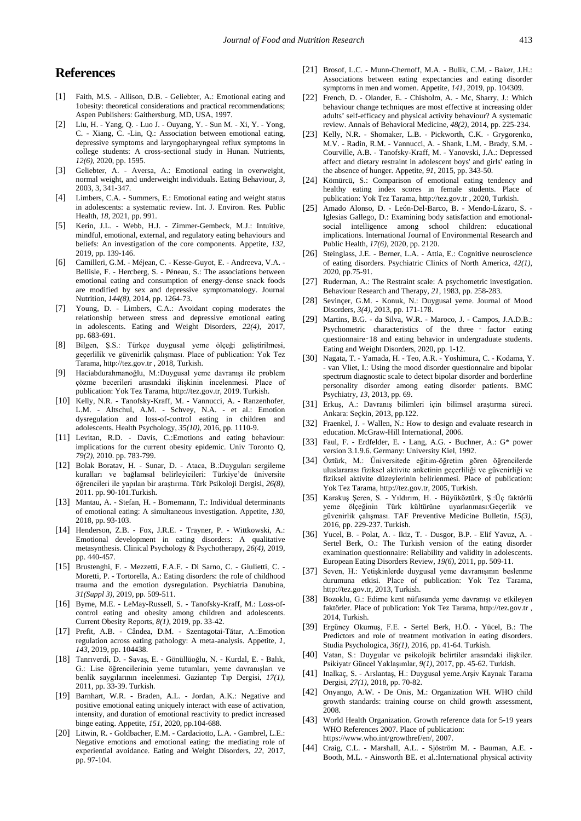# **References**

- <span id="page-7-0"></span>[1] Faith, M.S. - Allison, D.B. - Geliebter, A.: Emotional eating and 1obesity: theoretical considerations and practical recommendations; Aspen Publishers: Gaithersburg, MD, USA, 1997.
- <span id="page-7-1"></span>[2] Liu, H. - Yang, Q. - Luo J. - Ouyang, Y. - Sun M. - Xi, Y. - Yong, C. - Xiang, C. -Lin, Q.: Association between emotional eating, depressive symptoms and laryngopharyngeal reflux symptoms in college students: A cross-sectional study in Hunan. Nutrients, *12(6)*, 2020, pp. 1595.
- <span id="page-7-2"></span>[3] Geliebter, A. - Aversa, A.: Emotional eating in overweight, normal weight, and underweight individuals. Eating Behaviour, *3*, 2003, 3, 341-347.
- <span id="page-7-3"></span>[4] Limbers, C.A. - Summers, E.: Emotional eating and weight status in adolescents: a systematic review. Int. J. Environ. Res. Public Health, *18*, 2021, pp. 991.
- <span id="page-7-4"></span>[5] Kerin, J.L. - Webb, H.J. - Zimmer-Gembeck, M.J.: Intuitive, mindful, emotional, external, and regulatory eating behaviours and beliefs: An investigation of the core components. Appetite, *132*, 2019, pp. 139-146.
- <span id="page-7-5"></span>[6] Camilleri, G.M. - Méjean, C. - Kesse-Guyot, E. - Andreeva, V.A. - Bellisle, F. - Hercberg, S. - Péneau, S.: The associations between emotional eating and consumption of energy-dense snack foods are modified by sex and depressive symptomatology. Journal Nutrition, *144(8)*, 2014, pp. 1264-73.
- <span id="page-7-6"></span>[7] Young, D. - Limbers, C.A.: Avoidant coping moderates the relationship between stress and depressive emotional eating in adolescents. Eating and Weight Disorders, *22(4)*, 2017, pp. 683-691.
- <span id="page-7-7"></span>[8] Bilgen, Ş.S.: Türkçe duygusal yeme ölçeği geliştirilmesi, geçerlilik ve güvenirlik çalışması. Place of publication: Yok Tez Tarama, http://tez.gov.tr , 2018, Turkish.
- <span id="page-7-29"></span>[9] Haciabdurahmanoğlu, M.:Duygusal yeme davranışı ile problem çözme becerileri arasındaki ilişkinin incelenmesi. Place of publication: Yok Tez Tarama, http://tez.gov.tr, 2019. Turkish.
- <span id="page-7-8"></span>[10] Kelly, N.R. - Tanofsky-Kraff, M. - Vannucci, A. - Ranzenhofer, L.M. - Altschul, A.M. - Schvey, N.A. - et al.: Emotion dysregulation and loss-of-control eating in children and adolescents. Health Psychology, *35(10)*, 2016, pp. 1110-9.
- <span id="page-7-9"></span>[11] Levitan, R.D. - Davis, C.:Emotions and eating behaviour: implications for the current obesity epidemic. Univ Toronto Q, *79(2)*, 2010. pp. 783-799.
- [12] Bolak Boratav, H. Sunar, D. Ataca, B.:Duyguları sergileme kuralları ve bağlamsal belirleyicileri: Türkiye'de üniversite öğrencileri ile yapılan bir araştırma. Türk Psikoloji Dergisi, *26(8)*, 2011. pp. 90-101.Turkish.
- [13] Mantau, A. Stefan, H. Bornemann, T.: Individual determinants of emotional eating: A simultaneous investigation. Appetite, *130*, 2018, pp. 93-103.
- <span id="page-7-10"></span>[14] Henderson, Z.B. - Fox, J.R.E. - Trayner, P. - Wittkowski, A.: Emotional development in eating disorders: A qualitative metasynthesis. Clinical Psychology & Psychotherapy, *26(4)*, 2019, pp. 440-457.
- [15] Brustenghi, F. Mezzetti, F.A.F. Di Sarno, C. Giulietti, C. Moretti, P. - Tortorella, A.: Eating disorders: the role of childhood trauma and the emotion dysregulation. Psychiatria Danubina, *31(Suppl 3)*, 2019, pp. 509-511.
- [16] Byrne, M.E. LeMay-Russell, S. Tanofsky-Kraff, M.: Loss-ofcontrol eating and obesity among children and adolescents. Current Obesity Reports, *8(1)*, 2019, pp. 33-42.
- [17] Prefit, A.B. Cândea, D.M. Szentagotai-Tătar, A.:Emotion regulation across eating pathology: A meta-analysis. Appetite, *1, 143,* 2019, pp. 104438.
- <span id="page-7-11"></span>[18] Tanrıverdi, D. - Savaş, E. - Gönüllüoğlu, N. - Kurdal, E. - Balık, G.: Lise öğrencilerinin yeme tutumları, yeme davranışları ve benlik saygılarının incelenmesi. Gaziantep Tıp Dergisi, *17(1)*, 2011, pp. 33-39. Turkish.
- <span id="page-7-19"></span>[19] Barnhart, W.R. - Braden, A.L. - Jordan, A.K.: Negative and positive emotional eating uniquely interact with ease of activation, intensity, and duration of emotional reactivity to predict increased binge eating. Appetite, *151*, 2020, pp.104-688.
- <span id="page-7-12"></span>[20] Litwin, R. - Goldbacher, E.M. - Cardaciotto, L.A. - Gambrel, L.E.: Negative emotions and emotional eating: the mediating role of experiential avoidance. Eating and Weight Disorders*, 22,* 2017, pp. 97-104.
- <span id="page-7-13"></span>[21] Brosof, L.C. - Munn-Chernoff, M.A. - Bulik, C.M. - Baker, J.H.: Associations between eating expectancies and eating disorder symptoms in men and women. Appetite, *141*, 2019, pp. 104309.
- <span id="page-7-14"></span>[22] French, D. - Olander, E. - Chisholm, A. - Mc, Sharry, J.: Which behaviour change techniques are most effective at increasing older adults' self-efficacy and physical activity behaviour? A systematic review. Annals of Behavioral Medicine*, 48(2)*, 2014, pp. 225-234.
- [23] Kelly, N.R. Shomaker, L.B. Pickworth, C.K. Grygorenko, M.V. - Radin, R.M. - Vannucci, A. - Shank, L.M. - Brady, S.M. - Courville, A.B. - Tanofsky-Kraff, M. - Yanovski, J.A.: Depressed affect and dietary restraint in adolescent boys' and girls' eating in the absence of hunger. Appetite, *91*, 2015, pp. 343-50.
- <span id="page-7-15"></span>[24] Kömürcü, S.: Comparison of emotional eating tendency and healthy eating index scores in female students. Place of publication: Yok Tez Tarama, http://tez.gov.tr , 2020, Turkish.
- <span id="page-7-16"></span>[25] Amado Alonso, D. - León-Del-Barco, B. - Mendo-Lázaro, S. - Iglesias Gallego, D.: Examining body satisfaction and emotionalsocial intelligence among school children: educational implications. International Journal of Environmental Research and Public Health, *17(6)*, 2020, pp. 2120.
- <span id="page-7-17"></span>[26] Steinglass, J.E. - Berner, L.A. - Attia, E.: Cognitive neuroscience of eating disorders. Psychiatric Clinics of North America, *42(1)*, 2020, pp.75-91.
- <span id="page-7-18"></span>[27] Ruderman, A.: The Restraint scale: A psychometric investigation. Behaviour Research and Therapy*, 21*, 1983, pp. 258-283.
- [28] Sevinçer, G.M. Konuk, N.: Duygusal yeme. Journal of Mood Disorders*, 3(4)*, 2013, pp. 171-178.
- [29] Martins, B.G. da Silva, W.R. Maroco, J. Campos, J.A.D.B.: Psychometric characteristics of the three ‑ factor eating questionnaire‑18 and eating behavior in undergraduate students. Eating and Weight Disorders, 2020, pp. 1-12.
- <span id="page-7-20"></span>[30] Nagata, T. - Yamada, H. - Teo, A.R. - Yoshimura, C. - Kodama, Y. - van Vliet, I.: Using the mood disorder questionnaire and bipolar spectrum diagnostic scale to detect bipolar disorder and borderline personality disorder among eating disorder patients. BMC Psychiatry, *13*, 2013, pp. 69.
- <span id="page-7-21"></span>[31] Erkuş, A.: Davranış bilimleri için bilimsel araştırma süreci. Ankara: Seçkin, 2013, pp.122.
- <span id="page-7-22"></span>[32] Fraenkel, J. - Wallen, N.: How to design and evaluate research in education. McGraw-Hill International, 2006.
- <span id="page-7-23"></span>[33] Faul, F. - Erdfelder, E. - Lang, A.G. - Buchner, A.: G\* power version 3.1.9.6. Germany: University Kiel, 1992.
- <span id="page-7-24"></span>[34] Öztürk, M.: Üniversitede eğitim-öğretim gören öğrencilerde uluslararası fiziksel aktivite anketinin geçerliliği ve güvenirliği ve fiziksel aktivite düzeylerinin belirlenmesi*.* Place of publication: Yok Tez Tarama, http://tez.gov.tr, 2005, Turkish.
- <span id="page-7-25"></span>[35] Karakuş Şeren, S. - Yıldırım, H. - Büyüköztürk, Ş.:Üç faktörlü yeme ölçeğinin Türk kültürüne uyarlanması:Geçerlik ve güvenirlik çalışması. TAF Preventive Medicine Bulletin, *15(3)*, 2016, pp. 229-237. Turkish.
- [36] Yucel, B. Polat, A. Ikiz, T. Dusgor, B.P. Elif Yavuz, A. Sertel Berk, O.: The Turkish version of the eating disorder examination questionnaire: Reliability and validity in adolescents. European Eating Disorders Review, *19(6)*, 2011, pp. 509-11.
- [37] Seven, H.: Yetişkinlerde duygusal yeme davranışının beslenme durumuna etkisi. Place of publication: Yok Tez Tarama, http://tez.gov.tr, 2013, Turkish.
- [38] Bozoklu, G.: Edirne kent nüfusunda yeme davranışı ve etkileyen faktörler. Place of publication: Yok Tez Tarama, http://tez.gov.tr , 2014, Turkish.
- [39] Ergüney Okumuş, F.E. Sertel Berk, H.Ö. Yücel, B.: The Predictors and role of treatment motivation in eating disorders. Studia Psychologica, *36(1),* 2016, pp. 41-64. Turkish.
- [40] Vatan, S.: Duygular ve psikolojik belirtiler arasındaki ilişkiler. Psikiyatr Güncel Yaklaşımlar, *9(1)*, 2017, pp. 45-62. Turkish.
- [41] Inalkaç, S. Arslantaş, H.: Duygusal yeme*.*Arşiv Kaynak Tarama Dergisi, *27(1)*, 2018, pp. 70-82.
- <span id="page-7-26"></span>[42] Onyango, A.W. - De Onis, M.: Organization WH. WHO child growth standards: training course on child growth assessment, 2008.
- <span id="page-7-27"></span>[43] World Health Organization. Growth reference data for 5-19 years WHO References 2007. Place of publication: https://www.who.int/growthref/en/, 2007.
- <span id="page-7-28"></span>[44] Craig, C.L. - Marshall, A.L. - Sjöström M. - Bauman, A.E. - Booth, M.L. - Ainsworth BE. et al.:International physical activity